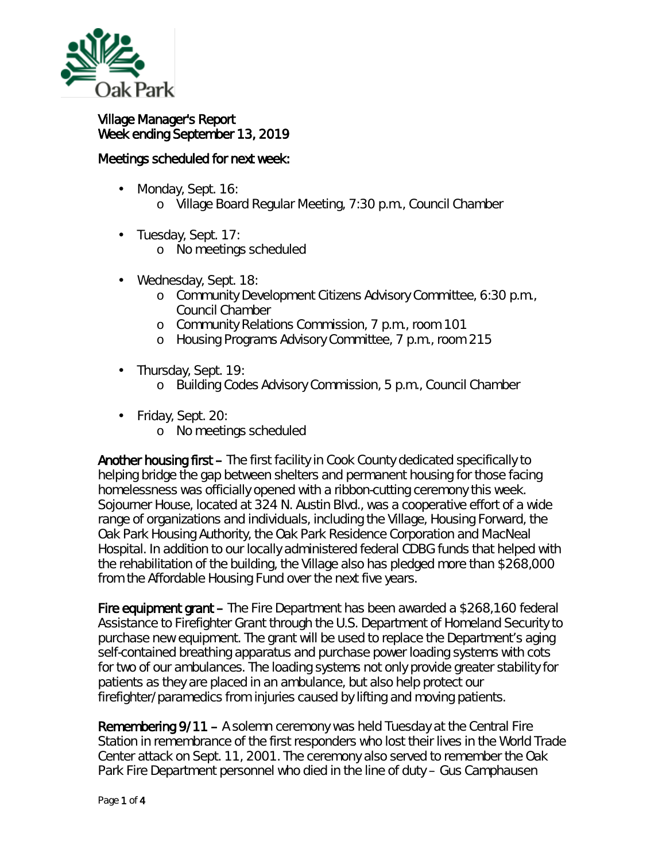

## Village Manager's Report Week ending September 13, 2019

## Meetings scheduled for next week:

- Monday, Sept. 16: ä,
	- o Village Board Regular Meeting, 7:30 p.m., Council Chamber
- ä, Tuesday, Sept. 17:
	- o No meetings scheduled
- Wednesday, Sept. 18: ä,
	- o Community Development Citizens Advisory Committee, 6:30 p.m., Council Chamber
	- o Community Relations Commission, 7 p.m., room 101
	- o Housing Programs Advisory Committee, 7 p.m., room 215
- Thursday, Sept. 19: ¥,
	- o Building Codes Advisory Commission, 5 p.m., Council Chamber
- Friday, Sept. 20:
	- o No meetings scheduled

Another housing first - The first facility in Cook County dedicated specifically to helping bridge the gap between shelters and permanent housing for those facing homelessness was officially opened with a ribbon-cutting ceremony this week. Sojourner House, located at 324 N. Austin Blvd., was a cooperative effort of a wide range of organizations and individuals, including the Village, Housing Forward, the Oak Park Housing Authority, the Oak Park Residence Corporation and MacNeal Hospital. In addition to our locally administered federal CDBG funds that helped with the rehabilitation of the building, the Village also has pledged more than \$268,000 from the Affordable Housing Fund over the next five years.

Fire equipment grant – The Fire Department has been awarded a \$268,160 federal *Assistance to Firefighter Grant* through the U.S. Department of Homeland Security to purchase new equipment. The grant will be used to replace the Department's aging self-contained breathing apparatus and purchase power loading systems with cots for two of our ambulances. The loading systems not only provide greater stability for patients as they are placed in an ambulance, but also help protect our firefighter/paramedics from injuries caused by lifting and moving patients.

Remembering 9/11 – A solemn ceremony was held Tuesday at the Central Fire Station in remembrance of the first responders who lost their lives in the World Trade Center attack on Sept. 11, 2001. The ceremony also served to remember the Oak Park Fire Department personnel who died in the line of duty – Gus Camphausen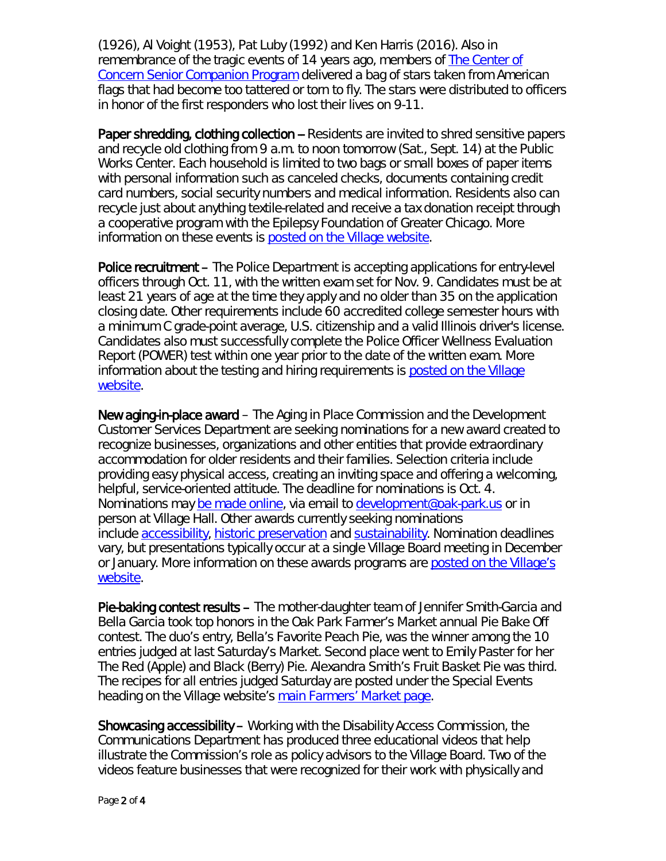(1926), Al Voight (1953), Pat Luby (1992) and Ken Harris (2016). Also in remembrance of the tragic events of 14 years ago, members of [The Center of](https://centerofconcern.org/senior-companion-program/)  [Concern Senior Companion Program](https://centerofconcern.org/senior-companion-program/) delivered a bag of stars taken from American flags that had become too tattered or torn to fly. The stars were distributed to officers in honor of the first responders who lost their lives on 9-11.

Paper shredding, clothing collection -- Residents are invited to shred sensitive papers and recycle old clothing from 9 a.m. to noon tomorrow (Sat., Sept. 14) at the Public Works Center. Each household is limited to two bags or small boxes of paper items with personal information such as canceled checks, documents containing credit card numbers, social security numbers and medical information. Residents also can recycle just about anything textile-related and receive a tax donation receipt through a cooperative program with the Epilepsy Foundation of Greater Chicago. More information on these events is [posted on the Village website.](http://r20.rs6.net/tn.jsp?f=001ss4YK3Sq7ONAqCXtlw8rXZOaK5bzsRs3F6TuJzNq2Zj0vilbjEPHnFkbAmWGABiwg6wE0CAK1S-HBbqyopZBEE7kcqwxkaej_MeJeuaxnb71Lr-bI_s0fTyDH9jBaTN9BF-r_I0MF2vOMl-O694LU1r2KQjnWk_r6aSxWgXs8tESOqCCpF5wKIiCZYnlYYmh4yGeVt0qWKe4YaU0BWflW7_BHvd7OPXs5ZVSgWJYCxC2DGoBjOT6NNJotUioFb8oWOQoFyJLhuALHwyIJQD3vy4dJUlChDb7ba0hJk23vNcANnNYNz_iHzciMDtk_b6-iIlWHft2Iv77T4zYjFAu_FgYRhleWSdo&c=6bhUfcGvYeNwcXmH66I0QccHJ-NDv6XKiCHC4LyevjlF9DEskSqD4A==&ch=0lL-ejymZakIUY2EsEPuUnJrBXSnuRpV8ztGlmgZ1xGFb0FS-IsZ3w==)

Police recruitment – The Police Department is accepting applications for entry-level officers through Oct. 11, with the written exam set for Nov. 9. Candidates must be at least 21 years of age at the time they apply and no older than 35 on the application closing date. Other requirements include 60 accredited college semester hours with a minimum C grade-point average, U.S. citizenship and a valid Illinois driver's license. Candidates also must successfully complete the Police Officer Wellness Evaluation Report (POWER) test within one year prior to the date of the written exam. More information about the testing and hiring requirements is posted on the Village [website.](https://www.oak-park.us/your-government/municipal-jobs/police-officer-job-posting)

New aging-in-place award – The Aging in Place Commission and the Development Customer Services Department are seeking nominations for a new award created to recognize businesses, organizations and other entities that provide extraordinary accommodation for older residents and their families. Selection criteria include providing easy physical access, creating an inviting space and offering a welcoming, helpful, service-oriented attitude. The deadline for nominations is Oct. 4. Nominations may [be made online,](https://www.oak-park.us/your-government/citizen-commissions/aging-place/aging-place-awards) via email to [development@oak-park.us](mailto:development@oak-park.us) or in person at Village Hall. Other awards currently seeking nominations include [accessibility,](https://www.oak-park.us/your-government/citizen-commissions/disability-access/disability-access-awards) [historic preservation](https://www.oak-park.us/village-services/planning-preservation-zoning/historic-preservation/preservation-awards/historic) and [sustainability.](https://www.oak-park.us/your-government/environmental-initiatives/green-awards-nomination-form) Nomination deadlines vary, but presentations typically occur at a single Village Board meeting in December or January. More information on these awards programs are [posted on the Village's](https://www.oak-park.us/news/nominations-sought-community-awards-1)  [website.](https://www.oak-park.us/news/nominations-sought-community-awards-1)

Pie-baking contest results – The mother-daughter team of Jennifer Smith-Garcia and Bella Garcia took top honors in the Oak Park Farmer's Market annual Pie Bake Off contest. The duo's entry, *Bella's Favorite Peach Pie*, was the winner among the 10 entries judged at last Saturday's Market. Second place went to Emily Paster for her *The Red (Apple) and Black (Berry) Pie*. Alexandra Smith's *Fruit Basket Pi*e was third. The recipes for all entries judged Saturday are posted under the Special Events heading on the Village website's [main Farmers' Market page.](https://www.oak-park.us/our-community/oak-park-farmers-market)

Showcasing accessibility – Working with the Disability Access Commission, the Communications Department has produced three educational videos that help illustrate the Commission's role as policy advisors to the Village Board. Two of the videos feature businesses that were recognized for their work with physically and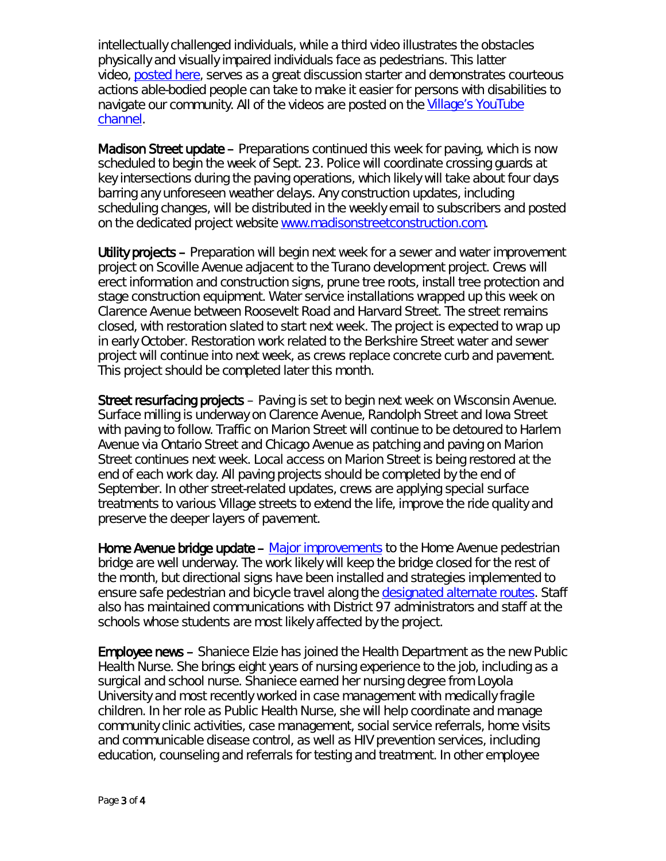intellectually challenged individuals, while a third video illustrates the obstacles physically and visually impaired individuals face as pedestrians. This latter video, [posted here,](https://youtu.be/UDyxxPeeJWo) serves as a great discussion starter and demonstrates courteous actions able-bodied people can take to make it easier for persons with disabilities to navigate our community. All of the videos are posted on the [Village's YouTube](https://www.youtube.com/vopnews)  [channel.](https://www.youtube.com/vopnews)

Madison Street update – Preparations continued this week for paving, which is now scheduled to begin the week of Sept. 23. Police will coordinate crossing guards at key intersections during the paving operations, which likely will take about four days barring any unforeseen weather delays. Any construction updates, including scheduling changes, will be distributed in the weekly email to subscribers and posted on the dedicated project website [www.madisonstreetconstruction.com.](http://www.madisonstreetconstruction.com/)

Utility projects – Preparation will begin next week for a sewer and water improvement project on Scoville Avenue adjacent to the Turano development project. Crews will erect information and construction signs, prune tree roots, install tree protection and stage construction equipment. Water service installations wrapped up this week on Clarence Avenue between Roosevelt Road and Harvard Street. The street remains closed, with restoration slated to start next week. The project is expected to wrap up in early October. Restoration work related to the Berkshire Street water and sewer project will continue into next week, as crews replace concrete curb and pavement. This project should be completed later this month.

Street resurfacing projects – Paving is set to begin next week on Wisconsin Avenue. Surface milling is underway on Clarence Avenue, Randolph Street and Iowa Street with paving to follow. Traffic on Marion Street will continue to be detoured to Harlem Avenue via Ontario Street and Chicago Avenue as patching and paving on Marion Street continues next week. Local access on Marion Street is being restored at the end of each work day. All paving projects should be completed by the end of September. In other street-related updates, crews are applying special surface treatments to various Village streets to extend the life, improve the ride quality and preserve the deeper layers of pavement.

Home Avenue bridge update – [Major improvements](https://www.oak-park.us/news/construction-temporarily-close-home-avenue-pedestrian-bridge) to the Home Avenue pedestrian bridge are well underway. The work likely will keep the bridge closed for the rest of the month, but directional signs have been installed and strategies implemented to ensure safe pedestrian and bicycle travel along the [designated alternate routes.](https://www.oak-park.us/sites/default/files/456678891/2019-09-04-lincoln_brooks_schools_temporary_student_walking_route_map.pdf) Staff also has maintained communications with District 97 administrators and staff at the schools whose students are most likely affected by the project.

Employee news – Shaniece Elzie has joined the Health Department as the new Public Health Nurse. She brings eight years of nursing experience to the job, including as a surgical and school nurse. Shaniece earned her nursing degree from Loyola University and most recently worked in case management with medically fragile children. In her role as Public Health Nurse, she will help coordinate and manage community clinic activities, case management, social service referrals, home visits and communicable disease control, as well as HIV prevention services, including education, counseling and referrals for testing and treatment. In other employee